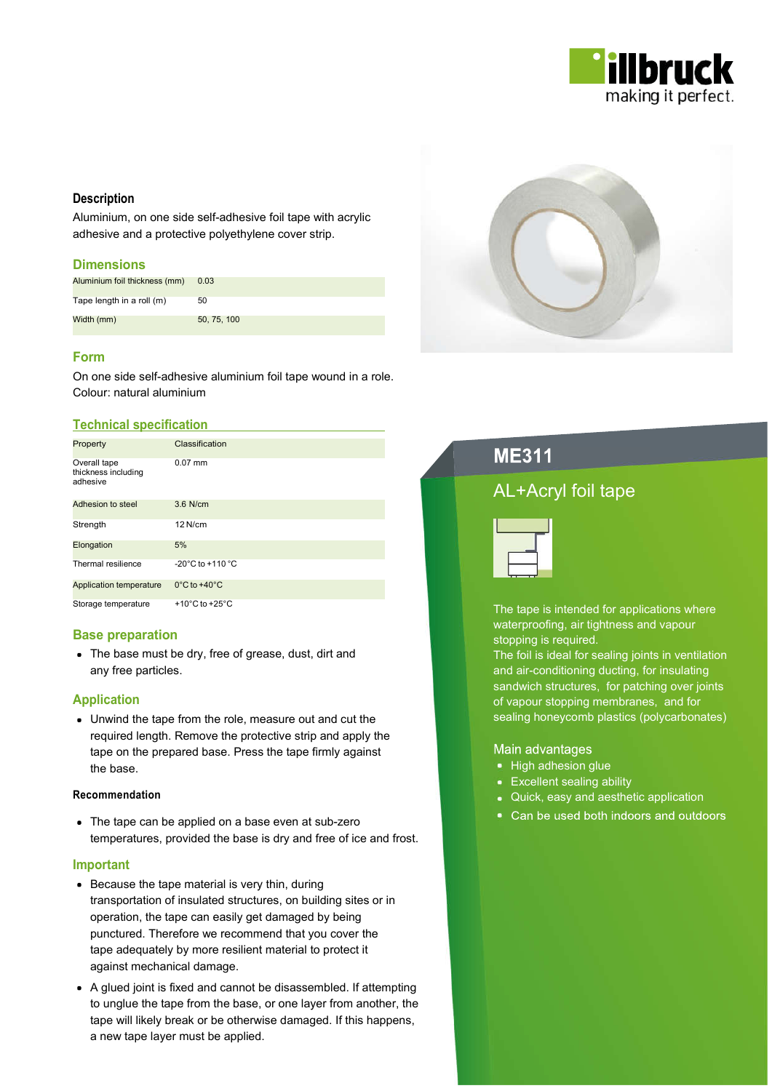

## **Description**

Aluminium, on one side self-adhesive foil tape with acrylic adhesive and a protective polyethylene cover strip.

### **Dimensions**

| Aluminium foil thickness (mm) | 0.03        |
|-------------------------------|-------------|
| Tape length in a roll (m)     | 50          |
| Width (mm)                    | 50, 75, 100 |

## Form

On one side self-adhesive aluminium foil tape wound in a role. Colour: natural aluminium

### Technical specification

| Property                                        | Classification                       |
|-------------------------------------------------|--------------------------------------|
| Overall tape<br>thickness including<br>adhesive | $0.07$ mm                            |
| Adhesion to steel                               | $3.6$ N/cm                           |
| Strength                                        | $12$ N/cm                            |
| Elongation                                      | 5%                                   |
| Thermal resilience                              | $-20^{\circ}$ C to $+110^{\circ}$ C  |
| <b>Application temperature</b>                  | $0^{\circ}$ C to +40 $^{\circ}$ C    |
| Storage temperature                             | +10 $^{\circ}$ C to +25 $^{\circ}$ C |

## Base preparation

The base must be dry, free of grease, dust, dirt and any free particles.

## Application

Unwind the tape from the role, measure out and cut the required length. Remove the protective strip and apply the tape on the prepared base. Press the tape firmly against the base.

#### Recommendation

• The tape can be applied on a base even at sub-zero temperatures, provided the base is dry and free of ice and frost.

#### Important

- Because the tape material is very thin, during transportation of insulated structures, on building sites or in operation, the tape can easily get damaged by being punctured. Therefore we recommend that you cover the tape adequately by more resilient material to protect it against mechanical damage.
- A glued joint is fixed and cannot be disassembled. If attempting to unglue the tape from the base, or one layer from another, the tape will likely break or be otherwise damaged. If this happens, a new tape layer must be applied.



# **ME311**

## AL+Acryl foil tape



The tape is intended for applications where waterproofing, air tightness and vapour stopping is required.

The foil is ideal for sealing joints in ventilation and air-conditioning ducting, for insulating sandwich structures, for patching over joints of vapour stopping membranes, and for sealing honeycomb plastics (polycarbonates)

#### Main advantages

- High adhesion glue
- Excellent sealing ability
- Quick, easy and aesthetic application
- Can be used both indoors and outdoors